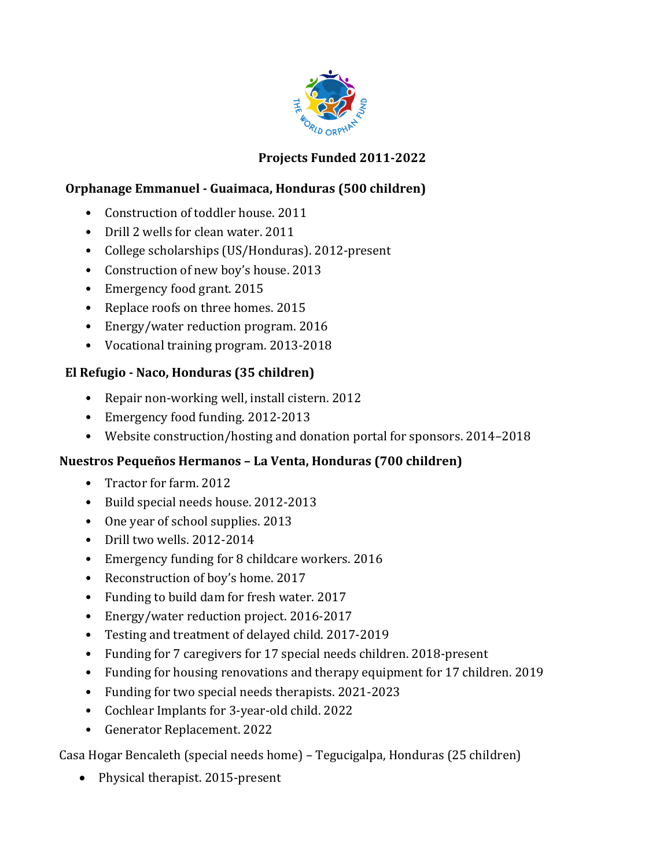

## **Projects Funded 2011-2022**

#### **Orphanage Emmanuel - Guaimaca, Honduras (500 children)**

- Construction of toddler house. 2011
- Drill 2 wells for clean water. 2011
- College scholarships (US/Honduras). 2012-present
- Construction of new boy's house. 2013
- Emergency food grant. 2015
- Replace roofs on three homes. 2015
- Energy/water reduction program. 2016
- Vocational training program. 2013-2018

#### **El Refugio - Naco, Honduras (35 children)**

- Repair non-working well, install cistern. 2012
- Emergency food funding. 2012-2013
- Website construction/hosting and donation portal for sponsors. 2014–2018

#### **Nuestros Pequeños Hermanos – La Venta, Honduras (700 children)**

- Tractor for farm. 2012
- Build special needs house. 2012-2013
- One year of school supplies. 2013
- Drill two wells.  $2012-2014$
- Emergency funding for 8 childcare workers. 2016
- Reconstruction of boy's home. 2017
- Funding to build dam for fresh water. 2017
- Energy/water reduction project. 2016-2017
- Testing and treatment of delayed child. 2017-2019
- Funding for 7 caregivers for 17 special needs children. 2018-present
- Funding for housing renovations and therapy equipment for 17 children. 2019
- Funding for two special needs therapists. 2021-2023
- Cochlear Implants for 3-year-old child. 2022
- Generator Replacement. 2022

Casa Hogar Bencaleth (special needs home) - Tegucigalpa, Honduras (25 children)

• Physical therapist. 2015-present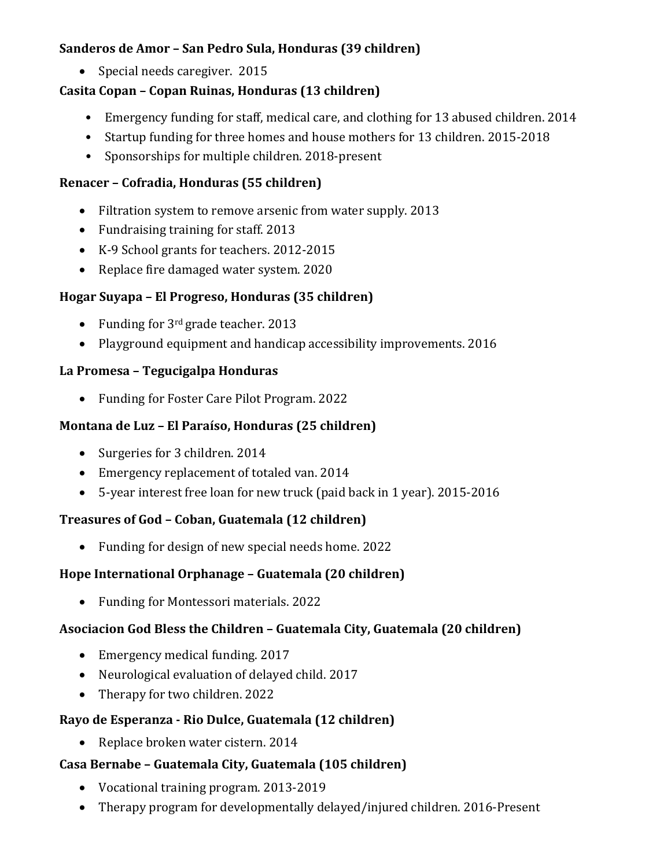## **Sanderos de Amor - San Pedro Sula, Honduras (39 children)**

• Special needs caregiver. 2015

## **Casita Copan - Copan Ruinas, Honduras (13 children)**

- Emergency funding for staff, medical care, and clothing for 13 abused children. 2014
- Startup funding for three homes and house mothers for 13 children. 2015-2018
- Sponsorships for multiple children. 2018-present

### **Renacer – Cofradia, Honduras (55 children)**

- Filtration system to remove arsenic from water supply. 2013
- Fundraising training for staff. 2013
- K-9 School grants for teachers. 2012-2015
- Replace fire damaged water system. 2020

## **Hogar Suyapa – El Progreso, Honduras (35 children)**

- Funding for  $3^{rd}$  grade teacher. 2013
- Playground equipment and handicap accessibility improvements. 2016

## **La Promesa – Tegucigalpa Honduras**

• Funding for Foster Care Pilot Program. 2022

## **Montana de Luz – El Paraíso, Honduras (25 children)**

- Surgeries for 3 children. 2014
- Emergency replacement of totaled van. 2014
- 5-year interest free loan for new truck (paid back in 1 year). 2015-2016

# **Treasures of God – Coban, Guatemala (12 children)**

• Funding for design of new special needs home. 2022

# **Hope International Orphanage - Guatemala (20 children)**

• Funding for Montessori materials. 2022

# Asociacion God Bless the Children - Guatemala City, Guatemala (20 children)

- Emergency medical funding. 2017
- Neurological evaluation of delayed child. 2017
- Therapy for two children. 2022

# **Rayo de Esperanza - Rio Dulce, Guatemala (12 children)**

• Replace broken water cistern. 2014

# **Casa Bernabe – Guatemala City, Guatemala (105 children)**

- Vocational training program. 2013-2019
- Therapy program for developmentally delayed/injured children. 2016-Present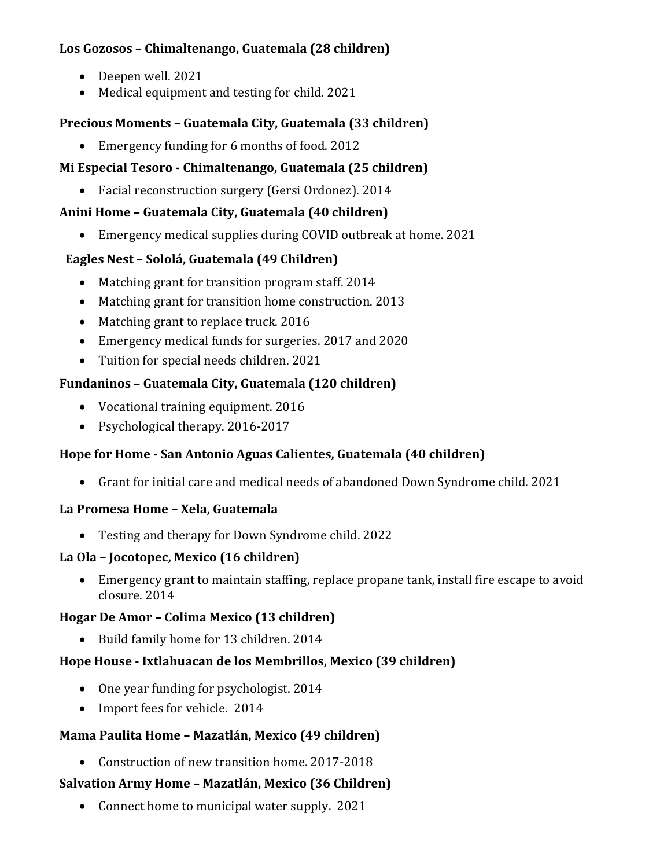# Los Gozosos - Chimaltenango, Guatemala (28 children)

- Deepen well. 2021
- Medical equipment and testing for child. 2021

### **Precious Moments – Guatemala City, Guatemala (33 children)**

• Emergency funding for 6 months of food. 2012

## **Mi Especial Tesoro - Chimaltenango, Guatemala (25 children)**

• Facial reconstruction surgery (Gersi Ordonez). 2014

## Anini Home - Guatemala City, Guatemala (40 children)

• Emergency medical supplies during COVID outbreak at home. 2021

# **Eagles Nest – Sololá, Guatemala (49 Children)**

- Matching grant for transition program staff. 2014
- Matching grant for transition home construction. 2013
- Matching grant to replace truck. 2016
- Emergency medical funds for surgeries. 2017 and 2020
- Tuition for special needs children. 2021

## **Fundaninos – Guatemala City, Guatemala (120 children)**

- Vocational training equipment. 2016
- Psychological therapy. 2016-2017

# **Hope for Home - San Antonio Aguas Calientes, Guatemala (40 children)**

• Grant for initial care and medical needs of abandoned Down Syndrome child. 2021

#### **La Promesa Home – Xela, Guatemala**

• Testing and therapy for Down Syndrome child. 2022

#### La Ola - Jocotopec, Mexico (16 children)

• Emergency grant to maintain staffing, replace propane tank, install fire escape to avoid closure. 2014

#### **Hogar De Amor – Colima Mexico (13 children)**

• Build family home for 13 children. 2014

# Hope House - Ixtlahuacan de los Membrillos, Mexico (39 children)

- One year funding for psychologist. 2014
- Import fees for vehicle. 2014

#### **Mama Paulita Home – Mazatlán, Mexico (49 children)**

• Construction of new transition home. 2017-2018

# **Salvation Army Home – Mazatlán, Mexico (36 Children)**

• Connect home to municipal water supply.  $2021$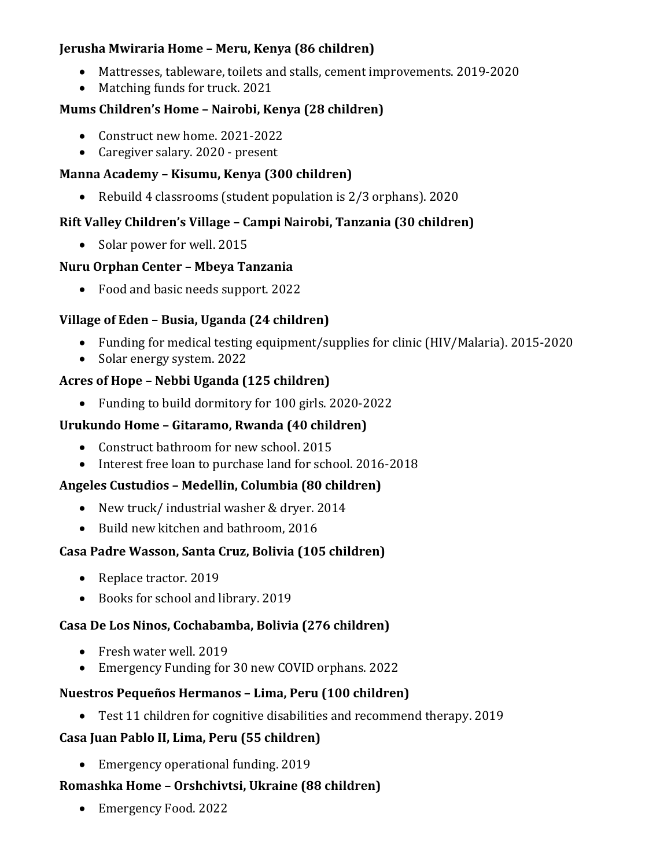### **Jerusha Mwiraria Home – Meru, Kenya (86 children)**

- Mattresses, tableware, toilets and stalls, cement improvements. 2019-2020
- Matching funds for truck. 2021

## **Mums Children's Home - Nairobi, Kenya (28 children)**

- Construct new home. 2021-2022
- Caregiver salary. 2020 present

## **Manna Academy – Kisumu, Kenya (300 children)**

• Rebuild 4 classrooms (student population is 2/3 orphans). 2020

# **Rift Valley Children's Village – Campi Nairobi, Tanzania (30 children)**

• Solar power for well. 2015

## **Nuru Orphan Center – Mbeya Tanzania**

• Food and basic needs support. 2022

# **Village of Eden - Busia, Uganda (24 children)**

- Funding for medical testing equipment/supplies for clinic (HIV/Malaria). 2015-2020
- Solar energy system. 2022

## **Acres of Hope – Nebbi Uganda (125 children)**

• Funding to build dormitory for 100 girls. 2020-2022

## **Urukundo Home – Gitaramo, Rwanda (40 children)**

- Construct bathroom for new school. 2015
- Interest free loan to purchase land for school. 2016-2018

# **Angeles Custudios – Medellin, Columbia (80 children)**

- New truck/ industrial washer & dryer. 2014
- Build new kitchen and bathroom, 2016

# Casa Padre Wasson, Santa Cruz, Bolivia (105 children)

- Replace tractor. 2019
- Books for school and library. 2019

# **Casa De Los Ninos, Cochabamba, Bolivia (276 children)**

- Fresh water well. 2019
- Emergency Funding for 30 new COVID orphans. 2022

# **Nuestros Pequeños Hermanos – Lima, Peru (100 children)**

• Test 11 children for cognitive disabilities and recommend therapy. 2019

# **Casa Juan Pablo II, Lima, Peru (55 children)**

• Emergency operational funding. 2019

# **Romashka Home – Orshchivtsi, Ukraine (88 children)**

• Emergency Food. 2022